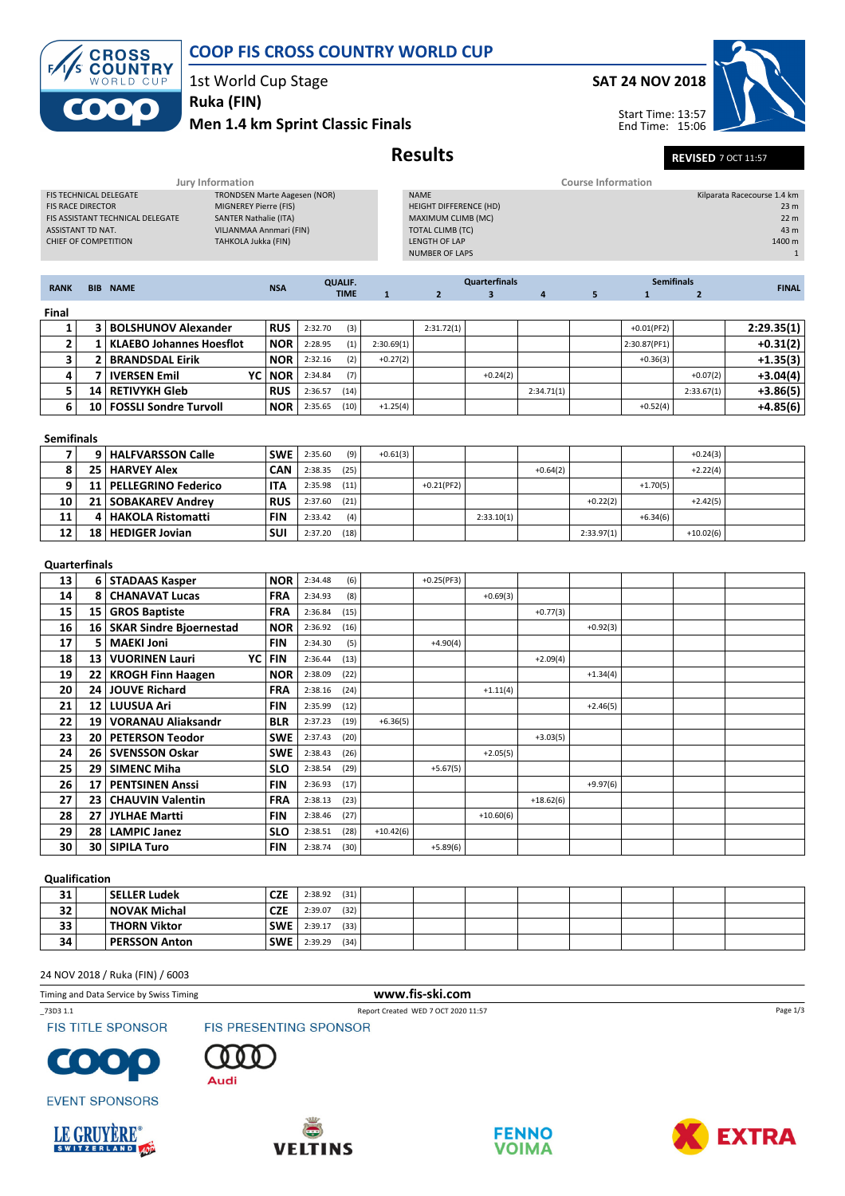

## COOP FIS CROSS COUNTRY WORLD CUP

1st World Cup Stage

## Men 1.4 km Sprint Classic Finals Ruka (FIN)

## SAT 24 NOV 2018



Start Time: 13:57 End Time: 15:06

# Results REVISED 7 OCT 11:57

|                                                                       |                | Jury Information                                           |                                                                              |                          |                                     |                |              |                                                                                                                           |                      |                | <b>Course Information</b> |                   |                |                                                                               |
|-----------------------------------------------------------------------|----------------|------------------------------------------------------------|------------------------------------------------------------------------------|--------------------------|-------------------------------------|----------------|--------------|---------------------------------------------------------------------------------------------------------------------------|----------------------|----------------|---------------------------|-------------------|----------------|-------------------------------------------------------------------------------|
| <b>FIS RACE DIRECTOR</b><br>ASSISTANT TD NAT.<br>CHIEF OF COMPETITION |                | FIS TECHNICAL DELEGATE<br>FIS ASSISTANT TECHNICAL DELEGATE | MIGNEREY Pierre (FIS)<br><b>SANTER Nathalie (ITA)</b><br>TAHKOLA Jukka (FIN) | VILJANMAA Annmari (FIN)  | <b>TRONDSEN Marte Aagesen (NOR)</b> |                |              | <b>NAME</b><br>HEIGHT DIFFERENCE (HD)<br>MAXIMUM CLIMB (MC)<br>TOTAL CLIMB (TC)<br>LENGTH OF LAP<br><b>NUMBER OF LAPS</b> |                      |                |                           |                   |                | Kilparata Racecourse 1.4 km<br>23 m<br>22 m<br>43 m<br>1400 m<br>$\mathbf{1}$ |
| <b>RANK</b>                                                           |                | <b>BIB NAME</b>                                            |                                                                              | <b>NSA</b>               |                                     | <b>QUALIF.</b> |              |                                                                                                                           | <b>Quarterfinals</b> |                |                           | <b>Semifinals</b> |                | <b>FINAL</b>                                                                  |
|                                                                       |                |                                                            |                                                                              |                          |                                     | <b>TIME</b>    | $\mathbf{1}$ | $\overline{2}$                                                                                                            | $\mathbf{3}$         | $\overline{4}$ | 5                         | $\mathbf{1}$      | $\overline{2}$ |                                                                               |
| Final                                                                 |                |                                                            |                                                                              |                          |                                     |                |              |                                                                                                                           |                      |                |                           |                   |                |                                                                               |
| 1                                                                     |                | 3   BOLSHUNOV Alexander                                    |                                                                              | <b>RUS</b>               | 2:32.70                             | (3)            |              | 2:31.72(1)                                                                                                                |                      |                |                           | $+0.01(PF2)$      |                | 2:29.35(1)                                                                    |
| 2                                                                     | $\mathbf{1}$   | <b>KLAEBO Johannes Hoesflot</b>                            |                                                                              | <b>NOR</b>               | 2:28.95                             | (1)            | 2:30.69(1)   |                                                                                                                           |                      |                |                           | 2:30.87(PF1)      |                | $+0.31(2)$                                                                    |
| 3                                                                     | 2              | <b>BRANDSDAL Eirik</b>                                     |                                                                              | <b>NOR</b>               | 2:32.16                             | (2)            | $+0.27(2)$   |                                                                                                                           |                      |                |                           | $+0.36(3)$        |                | $+1.35(3)$                                                                    |
| 4                                                                     | $\overline{7}$ | <b>IVERSEN Emil</b>                                        | YC                                                                           | <b>NOR</b>               | 2:34.84                             | (7)            |              |                                                                                                                           | $+0.24(2)$           |                |                           |                   | $+0.07(2)$     | $+3.04(4)$                                                                    |
| 5                                                                     | 14             | <b>RETIVYKH Gleb</b>                                       |                                                                              | <b>RUS</b>               | 2:36.57                             | (14)           |              |                                                                                                                           |                      | 2:34.71(1)     |                           |                   | 2:33.67(1)     | $+3.86(5)$                                                                    |
| 6                                                                     | 10             | <b>FOSSLI Sondre Turvoll</b>                               |                                                                              | <b>NOR</b>               | 2:35.65                             | (10)           | $+1.25(4)$   |                                                                                                                           |                      |                |                           | $+0.52(4)$        |                | $+4.85(6)$                                                                    |
|                                                                       |                |                                                            |                                                                              |                          |                                     |                |              |                                                                                                                           |                      |                |                           |                   |                |                                                                               |
| <b>Semifinals</b>                                                     |                |                                                            |                                                                              |                          |                                     |                |              |                                                                                                                           |                      |                |                           |                   |                |                                                                               |
| 7                                                                     | 9              | <b>HALFVARSSON Calle</b>                                   |                                                                              | <b>SWE</b>               | 2:35.60                             | (9)            | $+0.61(3)$   |                                                                                                                           |                      |                |                           |                   | $+0.24(3)$     |                                                                               |
| 8                                                                     | 25             | <b>HARVEY Alex</b>                                         |                                                                              | <b>CAN</b>               | 2:38.35                             | (25)           |              |                                                                                                                           |                      | $+0.64(2)$     |                           |                   | $+2.22(4)$     |                                                                               |
| 9                                                                     | 11             | <b>PELLEGRINO Federico</b>                                 |                                                                              | <b>ITA</b>               | 2:35.98                             | (11)           |              | $+0.21(PF2)$                                                                                                              |                      |                |                           | $+1.70(5)$        |                |                                                                               |
| 10                                                                    | 21             | <b>SOBAKAREV Andrey</b>                                    |                                                                              | <b>RUS</b>               | 2:37.60                             | (21)           |              |                                                                                                                           |                      |                | $+0.22(2)$                |                   | $+2.42(5)$     |                                                                               |
| 11                                                                    | 4              | <b>HAKOLA Ristomatti</b>                                   |                                                                              | <b>FIN</b>               | 2:33.42                             | (4)            |              |                                                                                                                           | 2:33.10(1)           |                |                           | $+6.34(6)$        |                |                                                                               |
| 12                                                                    | 18             | <b>HEDIGER Jovian</b>                                      |                                                                              | <b>SUI</b>               | 2:37.20                             | (18)           |              |                                                                                                                           |                      |                | 2:33.97(1)                |                   | $+10.02(6)$    |                                                                               |
|                                                                       |                |                                                            |                                                                              |                          |                                     |                |              |                                                                                                                           |                      |                |                           |                   |                |                                                                               |
| <b>Quarterfinals</b>                                                  |                |                                                            |                                                                              |                          |                                     |                |              |                                                                                                                           |                      |                |                           |                   |                |                                                                               |
| 13<br>14                                                              | 8              | 6   STADAAS Kasper<br><b>CHANAVAT Lucas</b>                |                                                                              | <b>NOR</b><br><b>FRA</b> | 2:34.48<br>2:34.93                  | (6)<br>(8)     |              | $+0.25(PF3)$                                                                                                              | $+0.69(3)$           |                |                           |                   |                |                                                                               |
| 15                                                                    | 15             | <b>GROS Baptiste</b>                                       |                                                                              | <b>FRA</b>               | 2:36.84                             | (15)           |              |                                                                                                                           |                      | $+0.77(3)$     |                           |                   |                |                                                                               |
| 16                                                                    | 16             | <b>SKAR Sindre Bjoernestad</b>                             |                                                                              | <b>NOR</b>               | 2:36.92                             | (16)           |              |                                                                                                                           |                      |                | $+0.92(3)$                |                   |                |                                                                               |
| 17                                                                    | 5              | <b>MAEKI Joni</b>                                          |                                                                              | <b>FIN</b>               | 2:34.30                             | (5)            |              | $+4.90(4)$                                                                                                                |                      |                |                           |                   |                |                                                                               |
| 18                                                                    | 13             | <b>VUORINEN Lauri</b>                                      | YC                                                                           | <b>FIN</b>               | 2:36.44                             | (13)           |              |                                                                                                                           |                      | $+2.09(4)$     |                           |                   |                |                                                                               |
| 19                                                                    | 22             | <b>KROGH Finn Haagen</b>                                   |                                                                              | <b>NOR</b>               | 2:38.09                             | (22)           |              |                                                                                                                           |                      |                | $+1.34(4)$                |                   |                |                                                                               |
| 20                                                                    | 24             | <b>JOUVE Richard</b>                                       |                                                                              | <b>FRA</b>               | 2:38.16                             | (24)           |              |                                                                                                                           | $+1.11(4)$           |                |                           |                   |                |                                                                               |
| 21                                                                    | 12             | <b>LUUSUA Ari</b>                                          |                                                                              | <b>FIN</b>               | 2:35.99                             | (12)           |              |                                                                                                                           |                      |                | $+2.46(5)$                |                   |                |                                                                               |
| 22                                                                    | 19             | <b>VORANAU Aliaksandr</b>                                  |                                                                              | <b>BLR</b>               | 2:37.23                             | (19)           | $+6.36(5)$   |                                                                                                                           |                      |                |                           |                   |                |                                                                               |
| 23                                                                    | 20             | <b>PETERSON Teodor</b>                                     |                                                                              | <b>SWE</b>               | 2:37.43                             | (20)           |              |                                                                                                                           |                      | $+3.03(5)$     |                           |                   |                |                                                                               |
| 24                                                                    | 26             | <b>SVENSSON Oskar</b>                                      |                                                                              | <b>SWE</b>               | 2:38.43                             | (26)           |              |                                                                                                                           | $+2.05(5)$           |                |                           |                   |                |                                                                               |
| 25                                                                    | 29             | <b>SIMENC Miha</b>                                         |                                                                              | <b>SLO</b>               | 2:38.54                             | (29)           |              | $+5.67(5)$                                                                                                                |                      |                |                           |                   |                |                                                                               |
| 26                                                                    | 17             | <b>PENTSINEN Anssi</b>                                     |                                                                              | <b>FIN</b>               | 2:36.93                             | (17)           |              |                                                                                                                           |                      |                | $+9.97(6)$                |                   |                |                                                                               |
| 27                                                                    | 23             | <b>CHAUVIN Valentin</b>                                    |                                                                              | <b>FRA</b>               | 2:38.13                             | (23)           |              |                                                                                                                           |                      | $+18.62(6)$    |                           |                   |                |                                                                               |
| 28                                                                    | 27             | <b>JYLHAE Martti</b>                                       |                                                                              | <b>FIN</b>               | 2:38.46                             | (27)           |              |                                                                                                                           | $+10.60(6)$          |                |                           |                   |                |                                                                               |
| 29                                                                    | 28             | <b>LAMPIC Janez</b>                                        |                                                                              | <b>SLO</b>               | 2:38.51                             | (28)           | $+10.42(6)$  |                                                                                                                           |                      |                |                           |                   |                |                                                                               |
| 30                                                                    | 30             | <b>SIPILA Turo</b>                                         |                                                                              | <b>FIN</b>               | 2:38.74                             | (30)           |              | $+5.89(6)$                                                                                                                |                      |                |                           |                   |                |                                                                               |

### Qualification

| 31 |  | <b>SELLER Ludek</b>  | <b>CZE</b> | (31)<br>2:38.92 |  |  |  |  |  |  |  |
|----|--|----------------------|------------|-----------------|--|--|--|--|--|--|--|
| 32 |  | <b>NOVAK Michal</b>  | <b>CZE</b> | (32)<br>2:39.07 |  |  |  |  |  |  |  |
| 33 |  | <b>THORN Viktor</b>  | SWE        | (33)<br>2:39.17 |  |  |  |  |  |  |  |
| 34 |  | <b>PERSSON Anton</b> | <b>SWE</b> | (34)<br>2:39.29 |  |  |  |  |  |  |  |
|    |  |                      |            |                 |  |  |  |  |  |  |  |

#### 24 NOV 2018 / Ruka (FIN) / 6003

Timing and Data Service by Swiss Timing www.fis-ski.com

\_73D3 1.1 Report Created WED 7 OCT 2020 11:57

**FIS TITLE SPONSOR** 





**EVENT SPONSORS** 





FIS PRESENTING SPONSOR





Page 1/3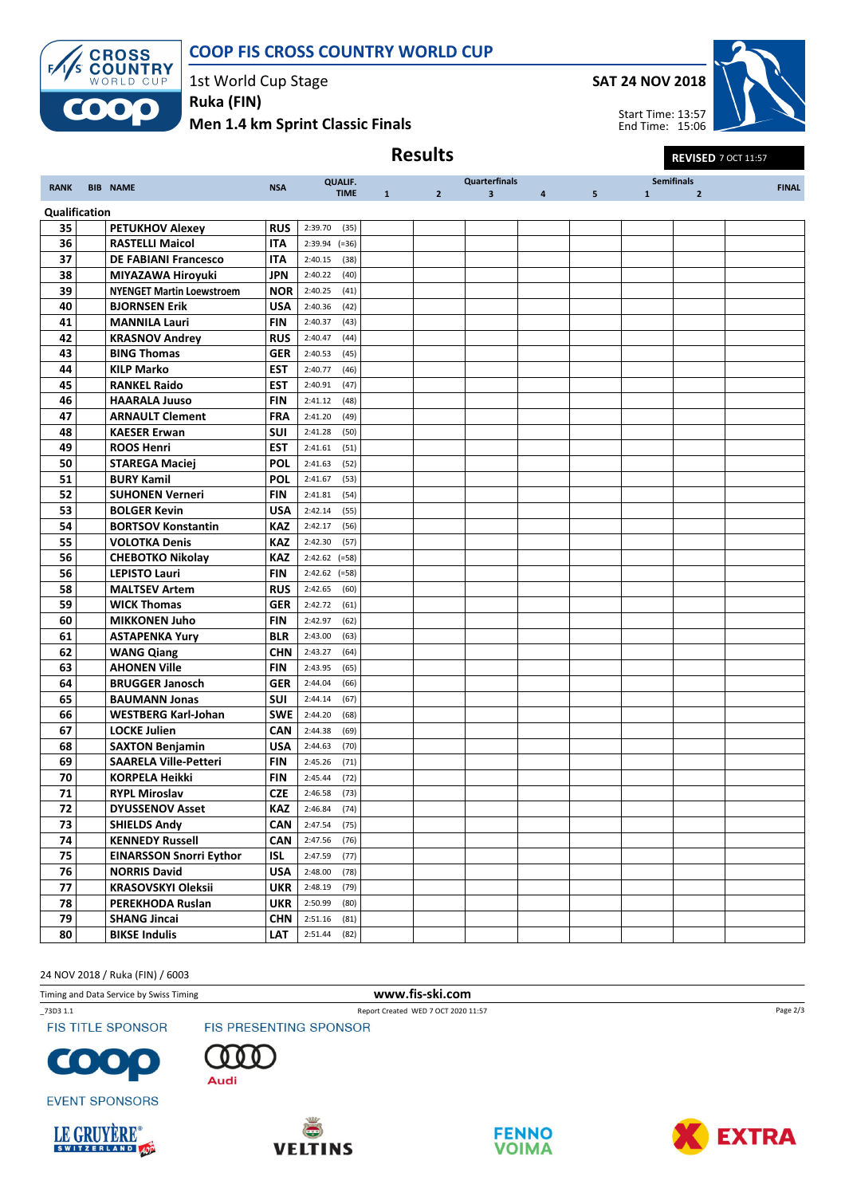



1st World Cup Stage

Men 1.4 km Sprint Classic Finals Ruka (FIN)



|               |                                  |            |                 |              | <b>Results</b> |                      |                |                |              | <b>REVISED 7 OCT 11:57</b> |              |
|---------------|----------------------------------|------------|-----------------|--------------|----------------|----------------------|----------------|----------------|--------------|----------------------------|--------------|
|               |                                  |            | <b>QUALIF.</b>  |              |                | <b>Quarterfinals</b> |                |                |              | <b>Semifinals</b>          |              |
| <b>RANK</b>   | <b>BIB NAME</b>                  | <b>NSA</b> | <b>TIME</b>     | $\mathbf{1}$ | $\overline{2}$ | $\mathbf{3}$         | $\overline{4}$ | 5 <sup>5</sup> | $\mathbf{1}$ | $\overline{2}$             | <b>FINAL</b> |
| Qualification |                                  |            |                 |              |                |                      |                |                |              |                            |              |
| 35            | <b>PETUKHOV Alexey</b>           | <b>RUS</b> | 2:39.70<br>(35) |              |                |                      |                |                |              |                            |              |
| 36            | <b>RASTELLI Maicol</b>           | ITA        | $2:39.94$ (=36) |              |                |                      |                |                |              |                            |              |
| 37            | <b>DE FABIANI Francesco</b>      | <b>ITA</b> | 2:40.15<br>(38) |              |                |                      |                |                |              |                            |              |
| 38            | MIYAZAWA Hiroyuki                | JPN        | 2:40.22<br>(40) |              |                |                      |                |                |              |                            |              |
| 39            | <b>NYENGET Martin Loewstroem</b> | <b>NOR</b> | 2:40.25<br>(41) |              |                |                      |                |                |              |                            |              |
| 40            | <b>BJORNSEN Erik</b>             | <b>USA</b> | 2:40.36<br>(42) |              |                |                      |                |                |              |                            |              |
| 41            | <b>MANNILA Lauri</b>             | FIN        | 2:40.37<br>(43) |              |                |                      |                |                |              |                            |              |
| 42            | <b>KRASNOV Andrey</b>            | <b>RUS</b> | 2:40.47<br>(44) |              |                |                      |                |                |              |                            |              |
| 43            | <b>BING Thomas</b>               | <b>GER</b> | 2:40.53<br>(45) |              |                |                      |                |                |              |                            |              |
| 44            | <b>KILP Marko</b>                | EST        | 2:40.77<br>(46) |              |                |                      |                |                |              |                            |              |
| 45            | <b>RANKEL Raido</b>              | <b>EST</b> | 2:40.91<br>(47) |              |                |                      |                |                |              |                            |              |
| 46            | <b>HAARALA Juuso</b>             | <b>FIN</b> | 2:41.12<br>(48) |              |                |                      |                |                |              |                            |              |
| 47            | <b>ARNAULT Clement</b>           | <b>FRA</b> | 2:41.20<br>(49) |              |                |                      |                |                |              |                            |              |
| 48            | <b>KAESER Erwan</b>              | SUI        | 2:41.28<br>(50) |              |                |                      |                |                |              |                            |              |
| 49            | <b>ROOS Henri</b>                | <b>EST</b> | 2:41.61<br>(51) |              |                |                      |                |                |              |                            |              |
| 50            | <b>STAREGA Maciej</b>            | <b>POL</b> | 2:41.63<br>(52) |              |                |                      |                |                |              |                            |              |
| 51            | <b>BURY Kamil</b>                | <b>POL</b> | 2:41.67<br>(53) |              |                |                      |                |                |              |                            |              |
| 52            | <b>SUHONEN Verneri</b>           | FIN        | 2:41.81<br>(54) |              |                |                      |                |                |              |                            |              |
| 53            | <b>BOLGER Kevin</b>              | <b>USA</b> | 2:42.14<br>(55) |              |                |                      |                |                |              |                            |              |
| 54            | <b>BORTSOV Konstantin</b>        | <b>KAZ</b> | (56)<br>2:42.17 |              |                |                      |                |                |              |                            |              |
| 55            | <b>VOLOTKA Denis</b>             | <b>KAZ</b> | 2:42.30<br>(57) |              |                |                      |                |                |              |                            |              |
| 56            | <b>CHEBOTKO Nikolay</b>          | <b>KAZ</b> | $2:42.62$ (=58) |              |                |                      |                |                |              |                            |              |
| 56            | <b>LEPISTO Lauri</b>             | FIN        | $2:42.62$ (=58) |              |                |                      |                |                |              |                            |              |
| 58            | <b>MALTSEV Artem</b>             | <b>RUS</b> | 2:42.65<br>(60) |              |                |                      |                |                |              |                            |              |
| 59            | <b>WICK Thomas</b>               | <b>GER</b> | 2:42.72<br>(61) |              |                |                      |                |                |              |                            |              |
| 60            | <b>MIKKONEN Juho</b>             | FIN        | 2:42.97<br>(62) |              |                |                      |                |                |              |                            |              |
| 61            | <b>ASTAPENKA Yury</b>            | <b>BLR</b> | 2:43.00<br>(63) |              |                |                      |                |                |              |                            |              |
| 62            | <b>WANG Qiang</b>                | <b>CHN</b> | 2:43.27<br>(64) |              |                |                      |                |                |              |                            |              |
| 63            | <b>AHONEN Ville</b>              | <b>FIN</b> | 2:43.95<br>(65) |              |                |                      |                |                |              |                            |              |
| 64            | <b>BRUGGER Janosch</b>           | <b>GER</b> | 2:44.04<br>(66) |              |                |                      |                |                |              |                            |              |
| 65            | <b>BAUMANN Jonas</b>             | SUI        | 2:44.14<br>(67) |              |                |                      |                |                |              |                            |              |
| 66            | <b>WESTBERG Karl-Johan</b>       | <b>SWE</b> | 2:44.20<br>(68) |              |                |                      |                |                |              |                            |              |
| 67            | <b>LOCKE Julien</b>              | <b>CAN</b> | 2:44.38<br>(69) |              |                |                      |                |                |              |                            |              |
| 68            | <b>SAXTON Benjamin</b>           | <b>USA</b> | 2:44.63<br>(70) |              |                |                      |                |                |              |                            |              |
| 69            | <b>SAARELA Ville-Petteri</b>     | <b>FIN</b> | 2:45.26<br>(71) |              |                |                      |                |                |              |                            |              |
| 70            | <b>KORPELA Heikki</b>            | <b>FIN</b> | 2:45.44<br>(72) |              |                |                      |                |                |              |                            |              |
| 71            | <b>RYPL Miroslav</b>             | <b>CZE</b> | 2:46.58<br>(73) |              |                |                      |                |                |              |                            |              |
| 72            | <b>DYUSSENOV Asset</b>           | KAZ        | 2:46.84<br>(74) |              |                |                      |                |                |              |                            |              |
| 73            | <b>SHIELDS Andy</b>              | CAN        | 2:47.54<br>(75) |              |                |                      |                |                |              |                            |              |
| 74            | <b>KENNEDY Russell</b>           | CAN        | 2:47.56<br>(76) |              |                |                      |                |                |              |                            |              |
| 75            | <b>EINARSSON Snorri Eythor</b>   | ISL        | 2:47.59<br>(77) |              |                |                      |                |                |              |                            |              |
| 76            | <b>NORRIS David</b>              | <b>USA</b> | 2:48.00<br>(78) |              |                |                      |                |                |              |                            |              |
| 77            | <b>KRASOVSKYI Oleksii</b>        | <b>UKR</b> | 2:48.19<br>(79) |              |                |                      |                |                |              |                            |              |
| 78            | PEREKHODA Ruslan                 | <b>UKR</b> | 2:50.99<br>(80) |              |                |                      |                |                |              |                            |              |
| 79            | <b>SHANG Jincai</b>              | <b>CHN</b> | (81)<br>2:51.16 |              |                |                      |                |                |              |                            |              |
| 80            | <b>BIKSE Indulis</b>             | LAT        | 2:51.44<br>(82) |              |                |                      |                |                |              |                            |              |

24 NOV 2018 / Ruka (FIN) / 6003

Timing and Data Service by Swiss Timing **www.fis-ski.com** 

\_73D3 1.1 Report Created WED 7 OCT 2020 11:57

**FIS TITLE SPONSOR** 





**EVENT SPONSORS** 





FIS PRESENTING SPONSOR





Page 2/3